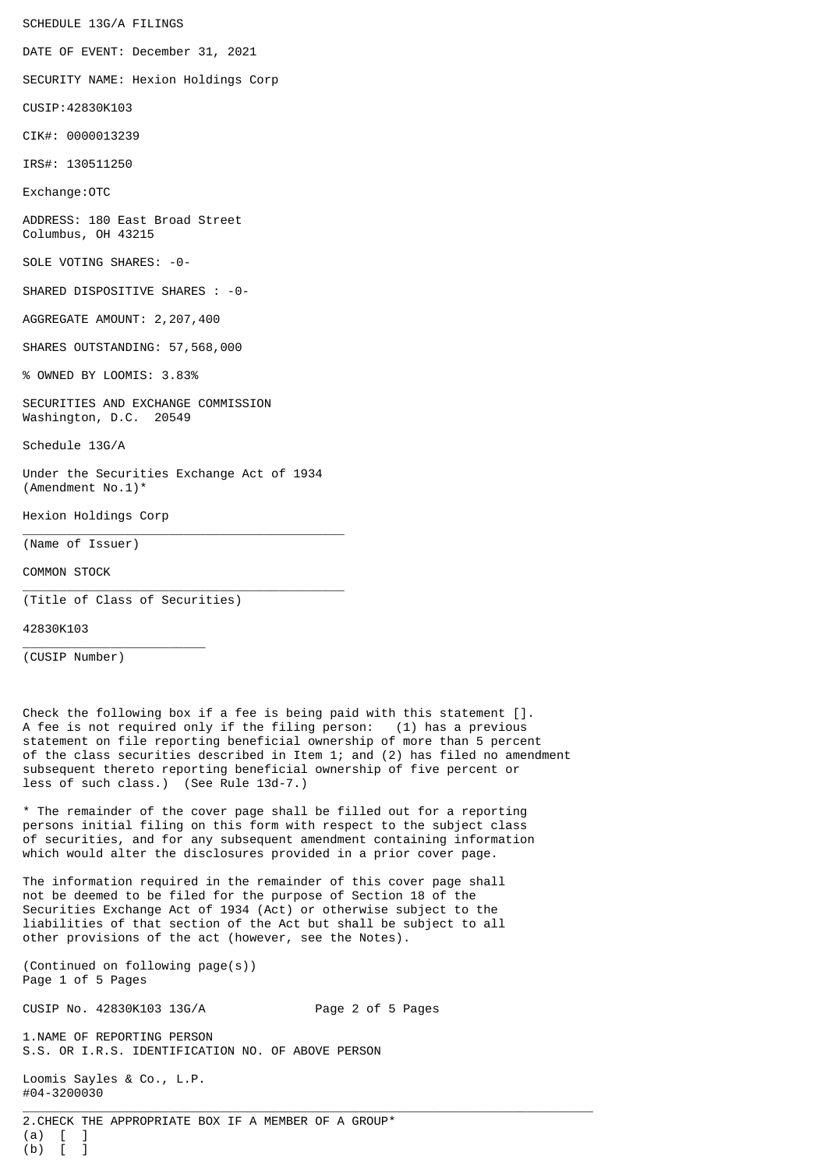SCHEDULE 13G/A FILINGS

DATE OF EVENT: December 31, 2021

SECURITY NAME: Hexion Holdings Corp

CUSIP:42830K103

CIK#: 0000013239

IRS#: 130511250

Exchange:OTC

ADDRESS: 180 East Broad Street Columbus, OH 43215

SOLE VOTING SHARES: -0-

SHARED DISPOSITIVE SHARES : -0-

AGGREGATE AMOUNT: 2,207,400

SHARES OUTSTANDING: 57,568,000

% OWNED BY LOOMIS: 3.83%

SECURITIES AND EXCHANGE COMMISSION Washington, D.C. 20549

Schedule 13G/A

Under the Securities Exchange Act of 1934 (Amendment No.1)\*

\_\_\_\_\_\_\_\_\_\_\_\_\_\_\_\_\_\_\_\_\_\_\_\_\_\_\_\_\_\_\_\_\_\_\_\_\_\_\_\_\_\_\_\_

\_\_\_\_\_\_\_\_\_\_\_\_\_\_\_\_\_\_\_\_\_\_\_\_\_\_\_\_\_\_\_\_\_\_\_\_\_\_\_\_\_\_\_\_

Hexion Holdings Corp

(Name of Issuer)

COMMON STOCK

(Title of Class of Securities)

\_\_\_\_\_\_\_\_\_\_\_\_\_\_\_\_\_\_\_\_\_\_\_\_\_

42830K103

(CUSIP Number)

Check the following box if a fee is being paid with this statement []. A fee is not required only if the filing person: (1) has a previous statement on file reporting beneficial ownership of more than 5 percent of the class securities described in Item 1; and (2) has filed no amendment subsequent thereto reporting beneficial ownership of five percent or less of such class.) (See Rule 13d-7.)

\* The remainder of the cover page shall be filled out for a reporting persons initial filing on this form with respect to the subject class of securities, and for any subsequent amendment containing information which would alter the disclosures provided in a prior cover page.

The information required in the remainder of this cover page shall not be deemed to be filed for the purpose of Section 18 of the Securities Exchange Act of 1934 (Act) or otherwise subject to the liabilities of that section of the Act but shall be subject to all other provisions of the act (however, see the Notes).

(Continued on following page(s)) Page 1 of 5 Pages

CUSIP No. 42830K103 13G/A Page 2 of 5 Pages

1.NAME OF REPORTING PERSON S.S. OR I.R.S. IDENTIFICATION NO. OF ABOVE PERSON

Loomis Sayles & Co., L.P. #04-3200030

 $\_$  ,  $\_$  ,  $\_$  ,  $\_$  ,  $\_$  ,  $\_$  ,  $\_$  ,  $\_$  ,  $\_$  ,  $\_$  ,  $\_$  ,  $\_$  ,  $\_$  ,  $\_$  ,  $\_$  ,  $\_$  ,  $\_$  ,  $\_$  ,  $\_$  ,  $\_$  ,  $\_$  ,  $\_$  ,  $\_$  ,  $\_$  ,  $\_$  ,  $\_$  ,  $\_$  ,  $\_$  ,  $\_$  ,  $\_$  ,  $\_$  ,  $\_$  ,  $\_$  ,  $\_$  ,  $\_$  ,  $\_$  ,  $\_$  , 2.CHECK THE APPROPRIATE BOX IF A MEMBER OF A GROUP\*  $(a)$   $[$   $]$ (b) [ ]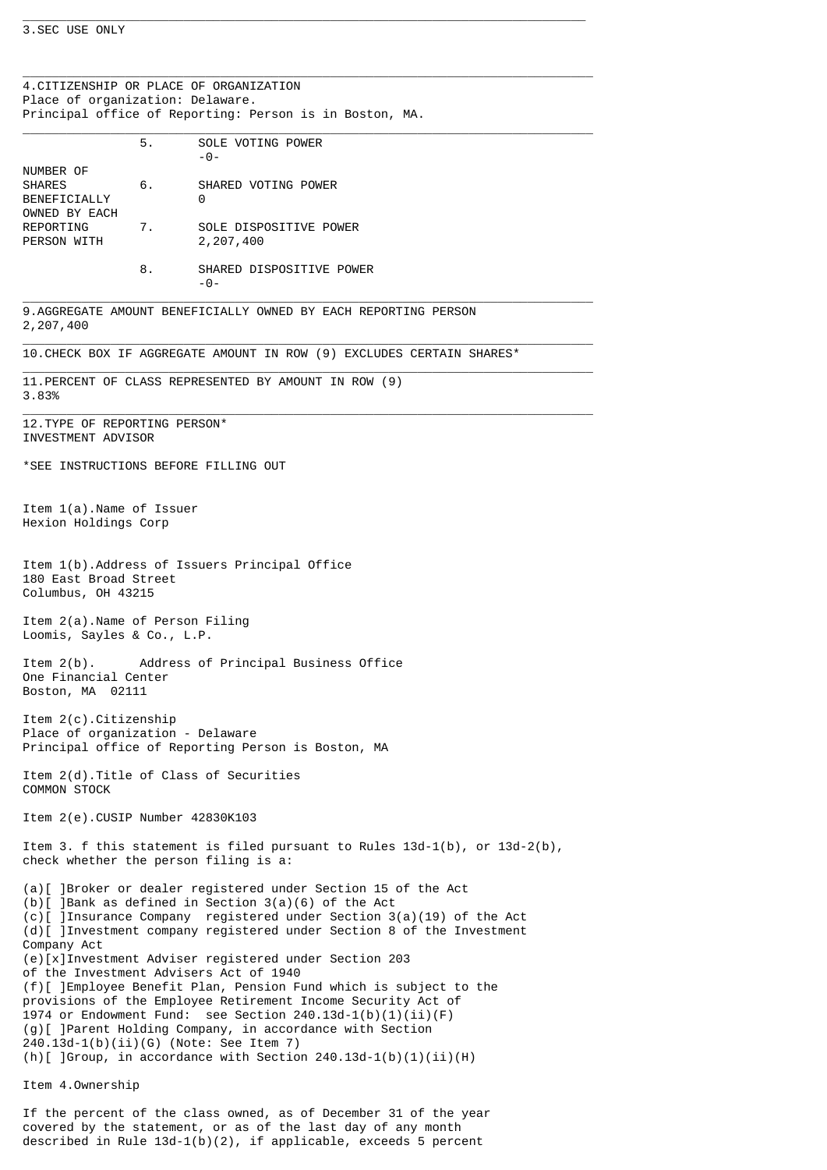## 3.SEC USE ONLY

 $\_$  ,  $\_$  ,  $\_$  ,  $\_$  ,  $\_$  ,  $\_$  ,  $\_$  ,  $\_$  ,  $\_$  ,  $\_$  ,  $\_$  ,  $\_$  ,  $\_$  ,  $\_$  ,  $\_$  ,  $\_$  ,  $\_$  ,  $\_$  ,  $\_$  ,  $\_$  ,  $\_$  ,  $\_$  ,  $\_$  ,  $\_$  ,  $\_$  ,  $\_$  ,  $\_$  ,  $\_$  ,  $\_$  ,  $\_$  ,  $\_$  ,  $\_$  ,  $\_$  ,  $\_$  ,  $\_$  ,  $\_$  ,  $\_$  , 4.CITIZENSHIP OR PLACE OF ORGANIZATION Place of organization: Delaware. Principal office of Reporting: Person is in Boston, MA.

\_\_\_\_\_\_\_\_\_\_\_\_\_\_\_\_\_\_\_\_\_\_\_\_\_\_\_\_\_\_\_\_\_\_\_\_\_\_\_\_\_\_\_\_\_\_\_\_\_\_\_\_\_\_\_\_\_\_\_\_\_\_\_\_\_\_\_\_\_\_\_\_\_\_\_\_\_

| NUMBER OF<br>SHARES<br>BENEFICIALLY<br>OWNED BY EACH<br>REPORTING<br>PERSON WITH                                                                                                                                                                                                                                                                                                                                                                                                                                                                                                                                                                                                                                                                                          | 5. | SOLE VOTING POWER<br>$-0-$            |
|---------------------------------------------------------------------------------------------------------------------------------------------------------------------------------------------------------------------------------------------------------------------------------------------------------------------------------------------------------------------------------------------------------------------------------------------------------------------------------------------------------------------------------------------------------------------------------------------------------------------------------------------------------------------------------------------------------------------------------------------------------------------------|----|---------------------------------------|
|                                                                                                                                                                                                                                                                                                                                                                                                                                                                                                                                                                                                                                                                                                                                                                           | 6. | SHARED VOTING POWER<br>0              |
|                                                                                                                                                                                                                                                                                                                                                                                                                                                                                                                                                                                                                                                                                                                                                                           | 7. | SOLE DISPOSITIVE POWER<br>2, 207, 400 |
|                                                                                                                                                                                                                                                                                                                                                                                                                                                                                                                                                                                                                                                                                                                                                                           | 8. | SHARED DISPOSITIVE POWER<br>$-0-$     |
| 9. AGGREGATE AMOUNT BENEFICIALLY OWNED BY EACH REPORTING PERSON<br>2, 207, 400                                                                                                                                                                                                                                                                                                                                                                                                                                                                                                                                                                                                                                                                                            |    |                                       |
| 10. CHECK BOX IF AGGREGATE AMOUNT IN ROW (9) EXCLUDES CERTAIN SHARES*                                                                                                                                                                                                                                                                                                                                                                                                                                                                                                                                                                                                                                                                                                     |    |                                       |
| 11. PERCENT OF CLASS REPRESENTED BY AMOUNT IN ROW (9)<br>3.83%                                                                                                                                                                                                                                                                                                                                                                                                                                                                                                                                                                                                                                                                                                            |    |                                       |
| 12.TYPE OF REPORTING PERSON*<br>INVESTMENT ADVISOR                                                                                                                                                                                                                                                                                                                                                                                                                                                                                                                                                                                                                                                                                                                        |    |                                       |
| *SEE INSTRUCTIONS BEFORE FILLING OUT                                                                                                                                                                                                                                                                                                                                                                                                                                                                                                                                                                                                                                                                                                                                      |    |                                       |
| Item $1(a)$ . Name of Issuer<br>Hexion Holdings Corp                                                                                                                                                                                                                                                                                                                                                                                                                                                                                                                                                                                                                                                                                                                      |    |                                       |
| Item 1(b). Address of Issuers Principal Office<br>180 East Broad Street<br>Columbus, OH 43215                                                                                                                                                                                                                                                                                                                                                                                                                                                                                                                                                                                                                                                                             |    |                                       |
| Item 2(a).Name of Person Filing<br>Loomis, Sayles & Co., L.P.                                                                                                                                                                                                                                                                                                                                                                                                                                                                                                                                                                                                                                                                                                             |    |                                       |
| Item $2(b)$ .<br>Address of Principal Business Office<br>One Financial Center<br>Boston, MA 02111                                                                                                                                                                                                                                                                                                                                                                                                                                                                                                                                                                                                                                                                         |    |                                       |
| Item $2(c)$ . Citizenship<br>Place of organization - Delaware<br>Principal office of Reporting Person is Boston,<br>МA                                                                                                                                                                                                                                                                                                                                                                                                                                                                                                                                                                                                                                                    |    |                                       |
| Item 2(d). Title of Class of Securities<br>COMMON STOCK                                                                                                                                                                                                                                                                                                                                                                                                                                                                                                                                                                                                                                                                                                                   |    |                                       |
| Item 2(e).CUSIP Number 42830K103                                                                                                                                                                                                                                                                                                                                                                                                                                                                                                                                                                                                                                                                                                                                          |    |                                       |
| Item 3. f this statement is filed pursuant to Rules $13d-1(b)$ , or $13d-2(b)$ ,<br>check whether the person filing is a:                                                                                                                                                                                                                                                                                                                                                                                                                                                                                                                                                                                                                                                 |    |                                       |
| (a)[ ]Broker or dealer registered under Section 15 of the Act<br>$(b)$ [ ]Bank as defined in Section 3(a)(6) of the Act<br>(c)[ ]Insurance Company registered under Section 3(a)(19) of the Act<br>(d)[ ]Investment company registered under Section 8 of the Investment<br>Company Act<br>(e)[x]Investment Adviser registered under Section 203<br>of the Investment Advisers Act of 1940<br>(f) [] [Employee Benefit Plan, Pension Fund which is subject to the<br>provisions of the Employee Retirement Income Security Act of<br>1974 or Endowment Fund: see Section $240.13d-1(b)(1)(ii)(F)$<br>(g)[ ]Parent Holding Company, in accordance with Section<br>240.13d-1(b)(ii)(G) (Note: See Item 7)<br>(h)[ ]Group, in accordance with Section 240.13d-1(b)(1)(ii)(H) |    |                                       |
| Item 4.0wnership                                                                                                                                                                                                                                                                                                                                                                                                                                                                                                                                                                                                                                                                                                                                                          |    |                                       |

If the percent of the class owned, as of December 31 of the year covered by the statement, or as of the last day of any month described in Rule 13d-1(b)(2), if applicable, exceeds 5 percent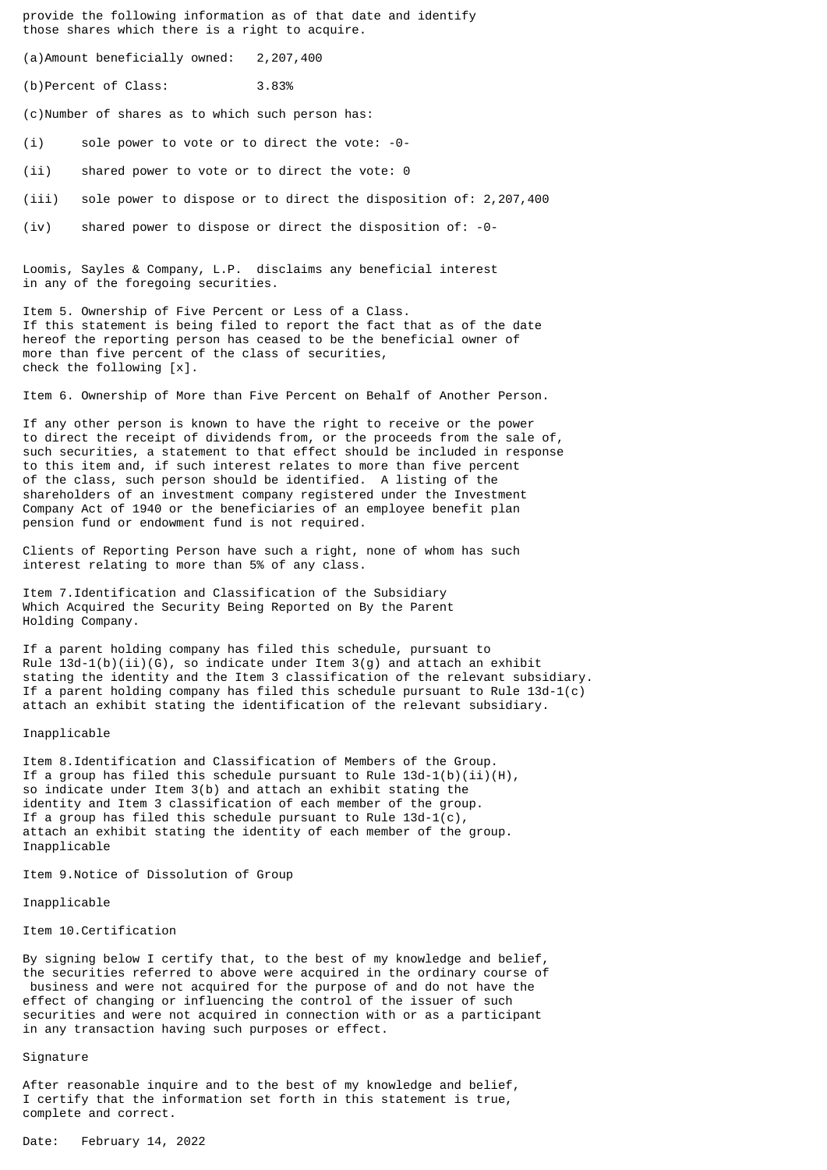provide the following information as of that date and identify those shares which there is a right to acquire.

(a)Amount beneficially owned: 2,207,400

(b)Percent of Class: 3.83%

(c)Number of shares as to which such person has:

(i) sole power to vote or to direct the vote: -0-

(ii) shared power to vote or to direct the vote: 0

(iii) sole power to dispose or to direct the disposition of: 2,207,400

(iv) shared power to dispose or direct the disposition of: -0-

Loomis, Sayles & Company, L.P. disclaims any beneficial interest in any of the foregoing securities.

Item 5. Ownership of Five Percent or Less of a Class. If this statement is being filed to report the fact that as of the date hereof the reporting person has ceased to be the beneficial owner of more than five percent of the class of securities, check the following [x].

Item 6. Ownership of More than Five Percent on Behalf of Another Person.

If any other person is known to have the right to receive or the power to direct the receipt of dividends from, or the proceeds from the sale of, such securities, a statement to that effect should be included in response to this item and, if such interest relates to more than five percent of the class, such person should be identified. A listing of the shareholders of an investment company registered under the Investment Company Act of 1940 or the beneficiaries of an employee benefit plan pension fund or endowment fund is not required.

Clients of Reporting Person have such a right, none of whom has such interest relating to more than 5% of any class.

Item 7.Identification and Classification of the Subsidiary Which Acquired the Security Being Reported on By the Parent Holding Company.

If a parent holding company has filed this schedule, pursuant to Rule  $13d-1(b)(ii)(6)$ , so indicate under Item 3(g) and attach an exhibit stating the identity and the Item 3 classification of the relevant subsidiary. If a parent holding company has filed this schedule pursuant to Rule  $13d-1(c)$ attach an exhibit stating the identification of the relevant subsidiary.

## Inapplicable

Item 8.Identification and Classification of Members of the Group. If a group has filed this schedule pursuant to Rule  $13d-1(b)(ii)(H)$ , so indicate under Item 3(b) and attach an exhibit stating the identity and Item 3 classification of each member of the group. If a group has filed this schedule pursuant to Rule 13d-1(c), attach an exhibit stating the identity of each member of the group. Inapplicable

Item 9.Notice of Dissolution of Group

Inapplicable

Item 10.Certification

By signing below I certify that, to the best of my knowledge and belief, the securities referred to above were acquired in the ordinary course of business and were not acquired for the purpose of and do not have the effect of changing or influencing the control of the issuer of such securities and were not acquired in connection with or as a participant in any transaction having such purposes or effect.

## Signature

After reasonable inquire and to the best of my knowledge and belief, I certify that the information set forth in this statement is true, complete and correct.

Date: February 14, 2022